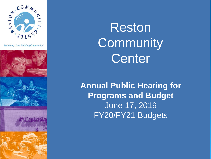

**Enriching Lives. Building Community.'** 









Reston **Community** Center

**Annual Public Hearing for Programs and Budget**  June 17, 2019 FY20/FY21 Budgets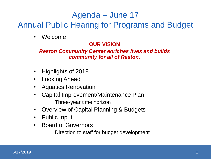### Agenda – June 17

### Annual Public Hearing for Programs and Budget

**Welcome** 

#### **OUR VISION**

#### *Reston Community Center enriches lives and builds community for all of Reston.*

- Highlights of 2018
- **Looking Ahead**
- Aquatics Renovation
- Capital Improvement/Maintenance Plan: Three-year time horizon
- Overview of Capital Planning & Budgets
- Public Input
- Board of Governors

Direction to staff for budget development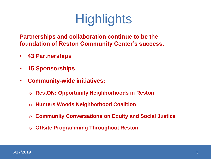# **Highlights**

**Partnerships and collaboration continue to be the foundation of Reston Community Center's success.**

- **43 Partnerships**
- **15 Sponsorships**
- **Community-wide initiatives:** 
	- o **RestON: Opportunity Neighborhoods in Reston**
	- o **Hunters Woods Neighborhood Coalition**
	- o **Community Conversations on Equity and Social Justice**
	- o **Offsite Programming Throughout Reston**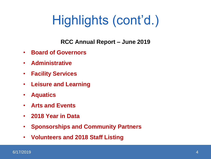# Highlights (cont'd.)

**RCC Annual Report – June 2019**

- **Board of Governors**
- **Administrative**
- **Facility Services**
- **Leisure and Learning**
- **Aquatics**
- **Arts and Events**
- **2018 Year in Data**
- **Sponsorships and Community Partners**
- **Volunteers and 2018 Staff Listing**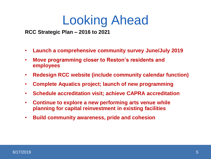## Looking Ahead

**RCC Strategic Plan – 2016 to 2021**

- **Launch a comprehensive community survey June/July 2019**
- **Move programming closer to Reston's residents and employees**
- **Redesign RCC website (include community calendar function)**
- **Complete Aquatics project; launch of new programming**
- **Schedule accreditation visit; achieve CAPRA accreditation**
- **Continue to explore a new performing arts venue while planning for capital reinvestment in existing facilities**
- **Build community awareness, pride and cohesion**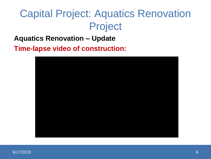## Capital Project: Aquatics Renovation Project

#### **Aquatics Renovation – Update**

**Time-lapse video of construction:**

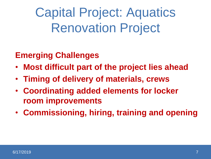Capital Project: Aquatics Renovation Project

### **Emerging Challenges**

- **Most difficult part of the project lies ahead**
- **Timing of delivery of materials, crews**
- **Coordinating added elements for locker room improvements**
- **Commissioning, hiring, training and opening**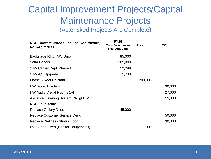### Capital Improvement Projects/Capital Maintenance Projects (Asterisked Projects Are Complete)

| <b>RCC Hunters Woods Facility (Non-theatre,</b><br><b>Non-Aquatics</b> ) | <b>FY19</b><br><b>Curr. Balances or</b><br><b>Rev. Amounts</b> | <b>FY20</b> | <b>FY21</b> |
|--------------------------------------------------------------------------|----------------------------------------------------------------|-------------|-------------|
| Backstage RTU (A/C Unit)                                                 | 85,000                                                         |             |             |
| <b>Solar Panels</b>                                                      | 185,000                                                        |             |             |
| *HW Carpet Repl. Phase 1                                                 | 12,299                                                         |             |             |
| *HW A/V Upgrade                                                          | 1,708                                                          |             |             |
| Phase 3 Roof Rplcmnt.                                                    |                                                                | 200,000     |             |
| <b>HW Room Dividers</b>                                                  |                                                                |             | 30,000      |
| <b>HW Audio Visual Rooms 1-4</b>                                         |                                                                |             | 27,000      |
| Assistive Listening System CR @ HW                                       |                                                                |             | 15,000      |
| <b>RCC Lake Anne</b>                                                     |                                                                |             |             |
| <b>Replace Gallery Doors</b>                                             | 45,000                                                         |             |             |
| <b>Replace Customer Service Desk</b>                                     |                                                                |             | 50,000      |
| <b>Replace Wellness Studio Floor</b>                                     |                                                                |             | 30,000      |
| Lake Anne Oven (Capital Equip/Install)                                   |                                                                | 11,000      |             |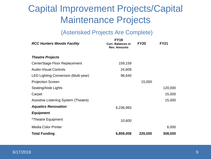## Capital Improvement Projects/Capital Maintenance Projects

#### (Asterisked Projects Are Complete)

| <b>RCC Hunters Woods Facility</b>    | <b>FY19</b><br><b>Curr. Balances or</b><br><b>Rev. Amounts</b> | <b>FY20</b> | <b>FY21</b> |
|--------------------------------------|----------------------------------------------------------------|-------------|-------------|
| <b>Theatre Projects</b>              |                                                                |             |             |
| CenterStage Floor Replacement        | 159,159                                                        |             |             |
| <b>Audio-Visual Controls</b>         | 24,609                                                         |             |             |
| LED Lighting Conversion (Multi-year) | 98,640                                                         |             |             |
| <b>Projection Screen</b>             |                                                                | 15,000      |             |
| Seating/Aisle Lights                 |                                                                |             | 120,000     |
| Carpet                               |                                                                |             | 15,000      |
| Assistive Listening System (Theatre) |                                                                |             | 15,000      |
| <b>Aquatics Renovation</b>           | 6,236,993                                                      |             |             |
| <b>Equipment</b>                     |                                                                |             |             |
| *Theatre Equipment                   | 10,600                                                         |             |             |
| <b>Media Color Printer</b>           |                                                                |             | 6,000       |
| <b>Total Funding</b>                 | 6,859,008                                                      | 226,000     | 308,000     |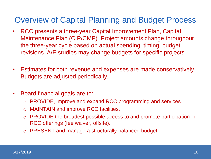### Overview of Capital Planning and Budget Process

- RCC presents a three-year Capital Improvement Plan, Capital Maintenance Plan (CIP/CMP). Project amounts change throughout the three-year cycle based on actual spending, timing, budget revisions. A/E studies may change budgets for specific projects.
- Estimates for both revenue and expenses are made conservatively. Budgets are adjusted periodically.
- Board financial goals are to:
	- o PROVIDE, improve and expand RCC programming and services.
	- o MAINTAIN and improve RCC facilities.
	- o PROVIDE the broadest possible access to and promote participation in RCC offerings (fee waiver, offsite).
	- o PRESENT and manage a structurally balanced budget.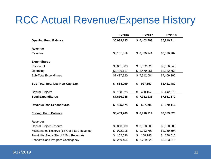## RCC Actual Revenue/Expense History

|                                             | FY2016        | FY2017        | <b>FY2018</b> |
|---------------------------------------------|---------------|---------------|---------------|
| <b>Opening Fund Balance</b>                 | \$5,938,135   | \$6,403,709   | \$6,910,714   |
| <b>Revenue</b>                              |               |               |               |
| Revenue                                     | \$8,101,819   | \$8,439,241   | \$8,830,782   |
| <b>Expenditures</b>                         |               |               |               |
| Personnel                                   | \$5,001,603   | \$5,032,823   | \$5,026,548   |
| Operating                                   | \$2,436,117   | \$2,479,261   | \$2,382,752   |
| Sub-Total Expenditures                      | \$7,437,720   | \$7,512,084   | \$7,409,300   |
| Sub-Total Rev. less Non-Cap Exp.            | 664,099<br>\$ | 927,157<br>\$ | \$1,421,482   |
| <b>Capital Projects</b>                     | 198,525<br>S. | \$<br>420,152 | \$442,370     |
| <b>Total Expenditures</b>                   | \$7,636,245   | \$7,932,236   | \$7,851,670   |
| <b>Revenue less Expenditures</b>            | \$465,574     | 507,005<br>\$ | \$979,112     |
| <b>Ending Fund Balance</b>                  | \$6,403,709   | \$6,910,714   | \$7,889,826   |
| <b>Reserves</b>                             |               |               |               |
| <b>Capital Project Reserve</b>              | \$3,000,000   | \$3,000,000   | \$3,000,000   |
| Maintenance Reserve (12% of # Est. Revenue) | 972,218<br>\$ | \$1,012,709   | \$1,059,694   |
| Feasibility Study (2% of # Est. Revenue)    | 162,036<br>\$ | \$<br>168,785 | 176,616<br>\$ |
| Economic and Program Contingency            | \$2,269,454   | \$2,729,220   | \$3,653,516   |

#### 6/17/2019 11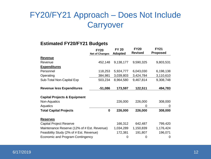### FY20/FY21 Approach – Does Not Include **Carryover**

#### **Estimated FY20/FY21 Budgets**

|                                             | <b>FY20</b>           | <b>FY 20</b>   | <b>FY20</b><br><b>Revised</b> | <b>FY21</b><br><b>Proposed</b> |
|---------------------------------------------|-----------------------|----------------|-------------------------------|--------------------------------|
|                                             | <b>Net of Changes</b> | <b>Adopted</b> |                               |                                |
| <b>Revenue</b>                              |                       |                |                               |                                |
| Revenue                                     | 452,148               | 9,138,177      | 9,590,325                     | 9,803,531                      |
| <b>Expenditures</b>                         |                       |                |                               |                                |
| Personnel                                   | 118,253               | 5,924,777      | 6,043,030                     | 6,198,138                      |
| Operating                                   | 384,981               | 3,039,803      | 3,424,784                     | 3,110,610                      |
| Sub-Total Non-Capital Exp                   | 503,234               | 8,964,580      | 9,467,814                     | 9,308,748                      |
| <b>Revenue less Expenditures</b>            | $-51,086$             | 173,597        | 122,511                       | 494,783                        |
| <b>Capital Projects &amp; Equipment</b>     |                       |                |                               |                                |
| Non-Aquatics                                |                       | 226,000        | 226,000                       | 308,000                        |
| Aquatics                                    |                       |                | 0                             | 0                              |
| <b>Total Capital Projects</b>               | 0                     | 226,000        | 226,000                       | 308,000                        |
| <b>Reserves</b>                             |                       |                |                               |                                |
| <b>Capital Project Reserve</b>              |                       | 166,312        | 642,487                       | 799,420                        |
| Maintenance Reserve (12% of # Est. Revenue) |                       | 1,034,289      | 1,150,839                     | 1,176,424                      |
| Feasibility Study (2% of # Est. Revenue)    |                       | 172,381        | 191,807                       | 196,071                        |
| Economic and Program Contingency            |                       | 0              | 0                             | 0                              |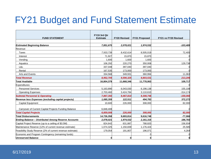## FY21 Budget and Fund Statement Estimate

|                                                            | FY19 3rd Qtr    |                     |                      |                      |
|------------------------------------------------------------|-----------------|---------------------|----------------------|----------------------|
| <b>FUND STATEMENT</b>                                      | <b>Estimate</b> | <b>FY20 Revised</b> | <b>FY21 Proposed</b> | FY21 vs FY20 Revised |
| <b>Estimated Beginning Balance</b>                         | 7,851,670       | 2,078,021           | 1,974,532            | $-103,489$           |
| Revenue:                                                   |                 |                     |                      |                      |
| Taxes                                                      | 7.933,739       | 8,432,614           | 8,505,019            | 72,405               |
| Interest                                                   | 71,927          | 15,870              | 15,870               |                      |
| Vending                                                    | 1,600           | 1,600               | 1,600                |                      |
| Aquatics                                                   | 106,292         | 220,270             | 350,008              | 129,738              |
| L&L                                                        | 337,048         | 397,040             | 397,040              |                      |
| Rental                                                     | 167,535         | 173,000             | 173,000              |                      |
| Arts and Events                                            | 334,568         | 349,931             | 360,994              | 11,063               |
| <b>Total Revenue</b>                                       | 8,952,709       | 9,590,325           | 9,803,531            | 213,206              |
| <b>Total Available</b>                                     | 16,804,379      | 11,668,346          | 11,778,063           | 109,717              |
| Expenditures:                                              |                 |                     |                      |                      |
| <b>Personnel Services</b>                                  | 5,163,890       | 6,043,030           | 6,198,138            | 155,108              |
| <b>Operating Expenses</b>                                  | 2,703,460       | 3,424,784           | 3,110,610            | $-314,174$           |
| <b>Subtotal Personnel &amp; Operating</b>                  | 7,867,350       | 9,467,814           | 9,308,748            | $-159,066$           |
| Revenue less Expenses (excluding capital projects)         | 1,085,359       | 122,511             | 494,783              | 372,272              |
| Capital Equipment                                          | 10,600          | 226,000             | 308,000              | 82,000               |
| Carryover of Current Capital Projects Funding Balance      | 6,848,408       |                     |                      |                      |
| <b>Total Capital Projects</b>                              | 6,859,008       | 226,000             | 308,000              | 82,000               |
| <b>Total Disbursements</b>                                 | 14,726,358      | 9,693,814           | 9,616,748            | $-77,066$            |
| <b>Ending Balance - Distributed Among Reserve Accounts</b> | 2,078,021       | 1,974,532           | 2,161,315            | 186,783              |
| Capital Project Reserve (up to a ceiling of \$3.5M)        | 824,642         | 631,887             | 788,820              | 156,934              |
| Maintenance Reserve (12% of current revenue estimate)      | 1,074,325       | 1,150,839           | 1,176,424            | 25,585               |
| Feasibility Study Reserve (2% of current revenue estimate) | 179,054         | 191,807             | 196,071              | 4,264                |
| Economic and Program Contingency (remaining funds)         |                 |                     |                      |                      |
| <b>Unreserved Balance</b>                                  | O               | O                   |                      |                      |